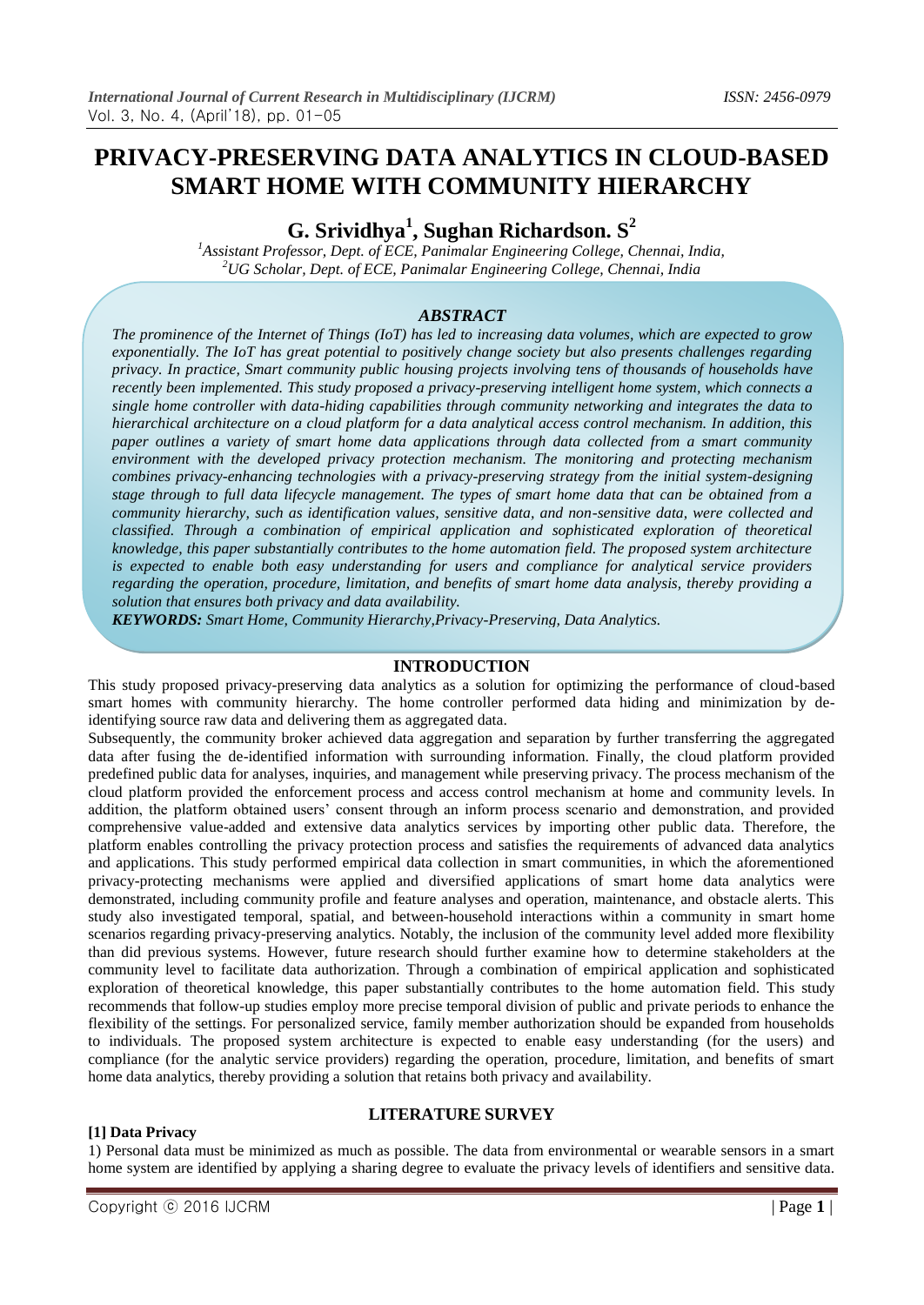# **PRIVACY-PRESERVING DATA ANALYTICS IN CLOUD-BASED SMART HOME WITH COMMUNITY HIERARCHY**

**G. Srividhya<sup>1</sup> , Sughan Richardson. S<sup>2</sup>**

*<sup>1</sup>Assistant Professor, Dept. of ECE, Panimalar Engineering College, Chennai, India, <sup>2</sup>UG Scholar, Dept. of ECE, Panimalar Engineering College, Chennai, India*

# *ABSTRACT*

*The prominence of the Internet of Things (IoT) has led to increasing data volumes, which are expected to grow exponentially. The IoT has great potential to positively change society but also presents challenges regarding privacy. In practice, Smart community public housing projects involving tens of thousands of households have recently been implemented. This study proposed a privacy-preserving intelligent home system, which connects a single home controller with data-hiding capabilities through community networking and integrates the data to hierarchical architecture on a cloud platform for a data analytical access control mechanism. In addition, this paper outlines a variety of smart home data applications through data collected from a smart community environment with the developed privacy protection mechanism. The monitoring and protecting mechanism combines privacy-enhancing technologies with a privacy-preserving strategy from the initial system-designing stage through to full data lifecycle management. The types of smart home data that can be obtained from a community hierarchy, such as identification values, sensitive data, and non-sensitive data, were collected and classified. Through a combination of empirical application and sophisticated exploration of theoretical knowledge, this paper substantially contributes to the home automation field. The proposed system architecture is expected to enable both easy understanding for users and compliance for analytical service providers regarding the operation, procedure, limitation, and benefits of smart home data analysis, thereby providing a solution that ensures both privacy and data availability.*

*KEYWORDS: Smart Home, Community Hierarchy,Privacy-Preserving, Data Analytics.*

#### **INTRODUCTION**

This study proposed privacy-preserving data analytics as a solution for optimizing the performance of cloud-based smart homes with community hierarchy. The home controller performed data hiding and minimization by deidentifying source raw data and delivering them as aggregated data.

Subsequently, the community broker achieved data aggregation and separation by further transferring the aggregated data after fusing the de-identified information with surrounding information. Finally, the cloud platform provided predefined public data for analyses, inquiries, and management while preserving privacy. The process mechanism of the cloud platform provided the enforcement process and access control mechanism at home and community levels. In addition, the platform obtained users' consent through an inform process scenario and demonstration, and provided comprehensive value-added and extensive data analytics services by importing other public data. Therefore, the platform enables controlling the privacy protection process and satisfies the requirements of advanced data analytics and applications. This study performed empirical data collection in smart communities, in which the aforementioned privacy-protecting mechanisms were applied and diversified applications of smart home data analytics were demonstrated, including community profile and feature analyses and operation, maintenance, and obstacle alerts. This study also investigated temporal, spatial, and between-household interactions within a community in smart home scenarios regarding privacy-preserving analytics. Notably, the inclusion of the community level added more flexibility than did previous systems. However, future research should further examine how to determine stakeholders at the community level to facilitate data authorization. Through a combination of empirical application and sophisticated exploration of theoretical knowledge, this paper substantially contributes to the home automation field. This study recommends that follow-up studies employ more precise temporal division of public and private periods to enhance the flexibility of the settings. For personalized service, family member authorization should be expanded from households to individuals. The proposed system architecture is expected to enable easy understanding (for the users) and compliance (for the analytic service providers) regarding the operation, procedure, limitation, and benefits of smart home data analytics, thereby providing a solution that retains both privacy and availability.

# **LITERATURE SURVEY**

#### 1) Personal data must be minimized as much as possible. The data from environmental or wearable sensors in a smart home system are identified by applying a sharing degree to evaluate the privacy levels of identifiers and sensitive data.

**[1] Data Privacy**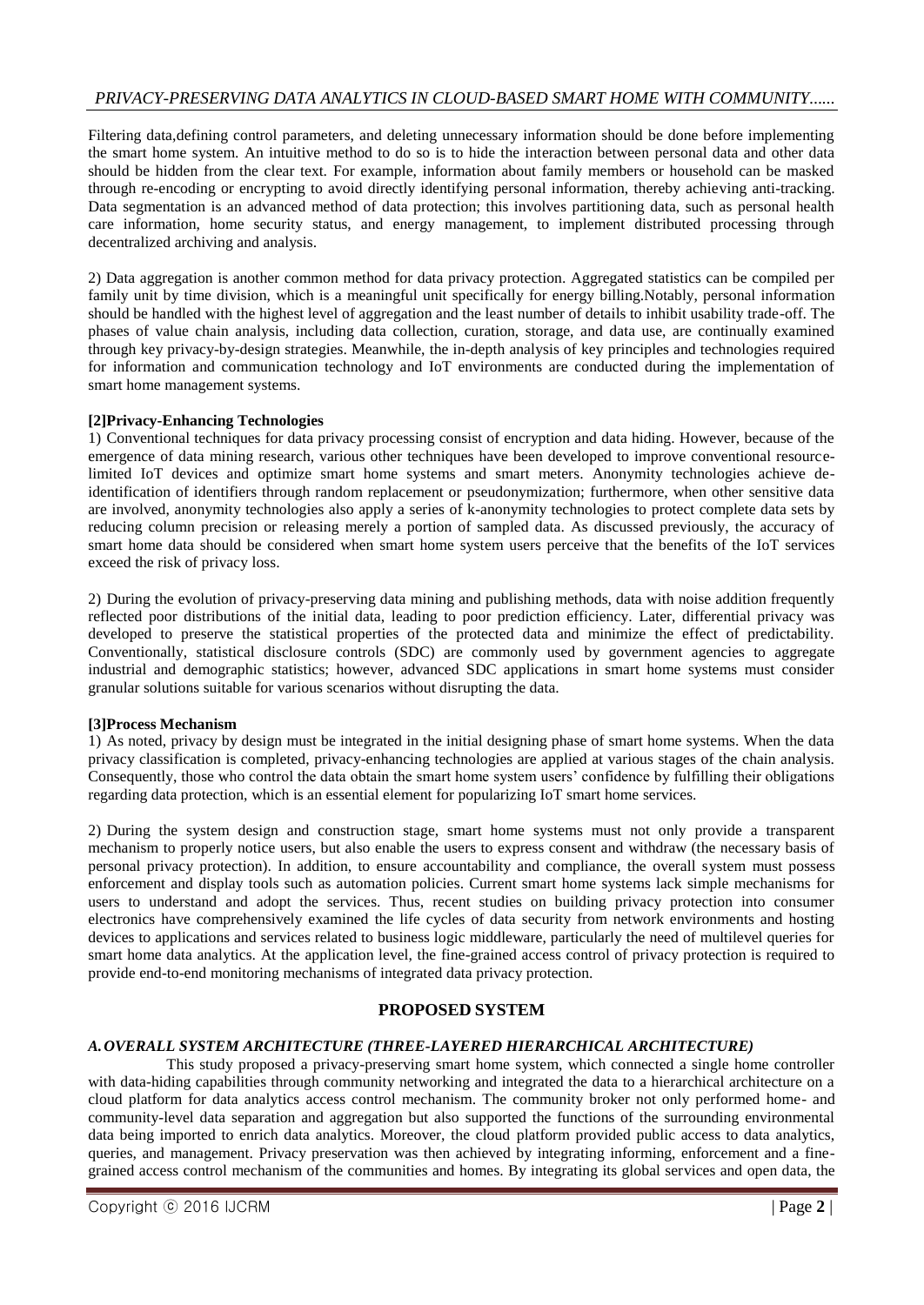# *PRIVACY-PRESERVING DATA ANALYTICS IN CLOUD-BASED SMART HOME WITH COMMUNITY......*

Filtering data,defining control parameters, and deleting unnecessary information should be done before implementing the smart home system. An intuitive method to do so is to hide the interaction between personal data and other data should be hidden from the clear text. For example, information about family members or household can be masked through re-encoding or encrypting to avoid directly identifying personal information, thereby achieving anti-tracking. Data segmentation is an advanced method of data protection; this involves partitioning data, such as personal health care information, home security status, and energy management, to implement distributed processing through decentralized archiving and analysis.

2) Data aggregation is another common method for data privacy protection. Aggregated statistics can be compiled per family unit by time division, which is a meaningful unit specifically for energy billing.Notably, personal information should be handled with the highest level of aggregation and the least number of details to inhibit usability trade-off. The phases of value chain analysis, including data collection, curation, storage, and data use, are continually examined through key privacy-by-design strategies. Meanwhile, the in-depth analysis of key principles and technologies required for information and communication technology and IoT environments are conducted during the implementation of smart home management systems.

#### **[2]Privacy-Enhancing Technologies**

1) Conventional techniques for data privacy processing consist of encryption and data hiding. However, because of the emergence of data mining research, various other techniques have been developed to improve conventional resourcelimited IoT devices and optimize smart home systems and smart meters. Anonymity technologies achieve deidentification of identifiers through random replacement or pseudonymization; furthermore, when other sensitive data are involved, anonymity technologies also apply a series of k-anonymity technologies to protect complete data sets by reducing column precision or releasing merely a portion of sampled data. As discussed previously, the accuracy of smart home data should be considered when smart home system users perceive that the benefits of the IoT services exceed the risk of privacy loss.

2) During the evolution of privacy-preserving data mining and publishing methods, data with noise addition frequently reflected poor distributions of the initial data, leading to poor prediction efficiency. Later, differential privacy was developed to preserve the statistical properties of the protected data and minimize the effect of predictability. Conventionally, statistical disclosure controls (SDC) are commonly used by government agencies to aggregate industrial and demographic statistics; however, advanced SDC applications in smart home systems must consider granular solutions suitable for various scenarios without disrupting the data.

#### **[3]Process Mechanism**

1) As noted, privacy by design must be integrated in the initial designing phase of smart home systems. When the data privacy classification is completed, privacy-enhancing technologies are applied at various stages of the chain analysis. Consequently, those who control the data obtain the smart home system users' confidence by fulfilling their obligations regarding data protection, which is an essential element for popularizing IoT smart home services.

2) During the system design and construction stage, smart home systems must not only provide a transparent mechanism to properly notice users, but also enable the users to express consent and withdraw (the necessary basis of personal privacy protection). In addition, to ensure accountability and compliance, the overall system must possess enforcement and display tools such as automation policies. Current smart home systems lack simple mechanisms for users to understand and adopt the services. Thus, recent studies on building privacy protection into consumer electronics have comprehensively examined the life cycles of data security from network environments and hosting devices to applications and services related to business logic middleware, particularly the need of multilevel queries for smart home data analytics. At the application level, the fine-grained access control of privacy protection is required to provide end-to-end monitoring mechanisms of integrated data privacy protection.

## **PROPOSED SYSTEM**

#### *A.OVERALL SYSTEM ARCHITECTURE (THREE-LAYERED HIERARCHICAL ARCHITECTURE)*

This study proposed a privacy-preserving smart home system, which connected a single home controller with data-hiding capabilities through community networking and integrated the data to a hierarchical architecture on a cloud platform for data analytics access control mechanism. The community broker not only performed home- and community-level data separation and aggregation but also supported the functions of the surrounding environmental data being imported to enrich data analytics. Moreover, the cloud platform provided public access to data analytics, queries, and management. Privacy preservation was then achieved by integrating informing, enforcement and a finegrained access control mechanism of the communities and homes. By integrating its global services and open data, the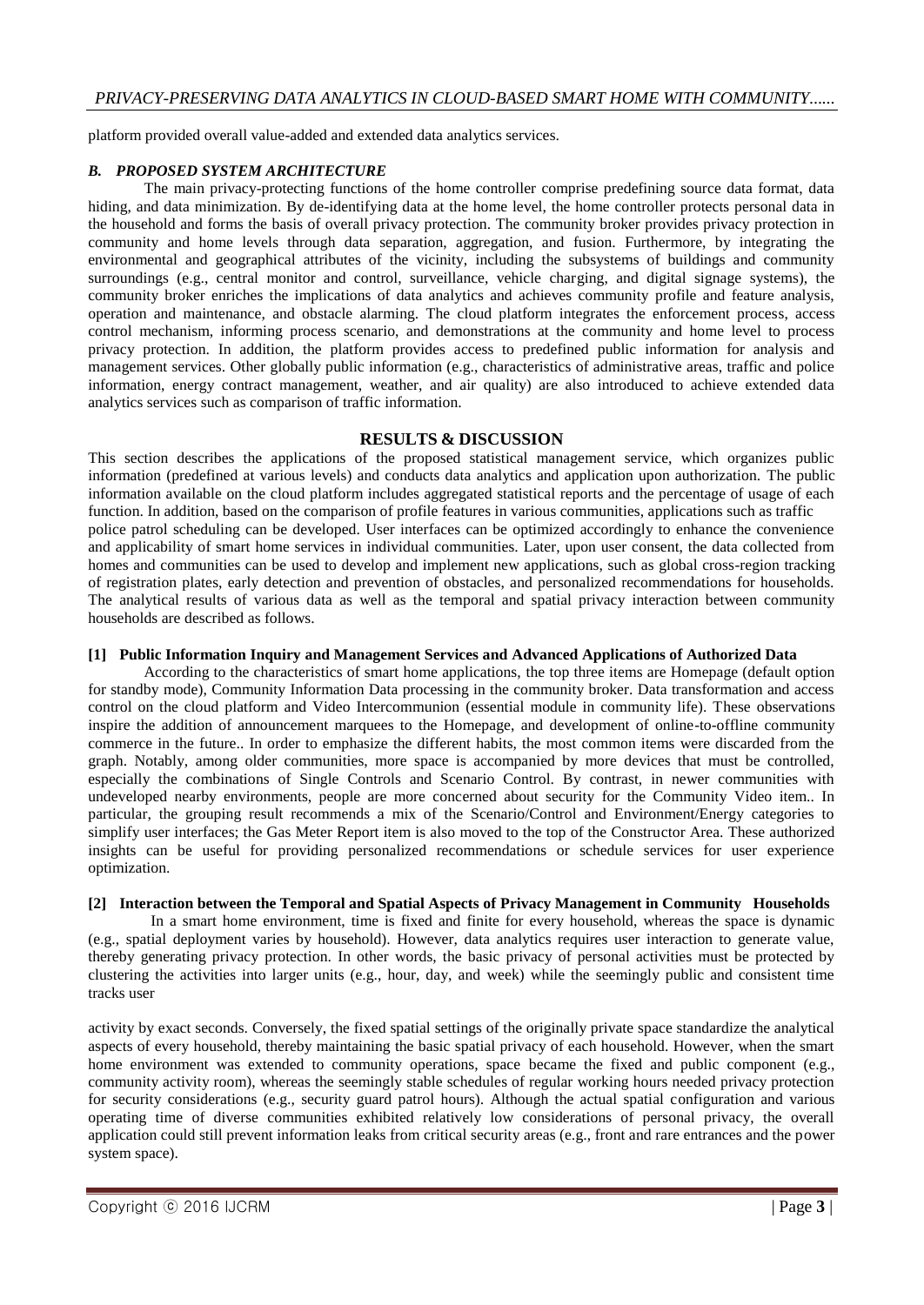platform provided overall value-added and extended data analytics services.

#### *B. PROPOSED SYSTEM ARCHITECTURE*

The main privacy-protecting functions of the home controller comprise predefining source data format, data hiding, and data minimization. By de-identifying data at the home level, the home controller protects personal data in the household and forms the basis of overall privacy protection. The community broker provides privacy protection in community and home levels through data separation, aggregation, and fusion. Furthermore, by integrating the environmental and geographical attributes of the vicinity, including the subsystems of buildings and community surroundings (e.g., central monitor and control, surveillance, vehicle charging, and digital signage systems), the community broker enriches the implications of data analytics and achieves community profile and feature analysis, operation and maintenance, and obstacle alarming. The cloud platform integrates the enforcement process, access control mechanism, informing process scenario, and demonstrations at the community and home level to process privacy protection. In addition, the platform provides access to predefined public information for analysis and management services. Other globally public information (e.g., characteristics of administrative areas, traffic and police information, energy contract management, weather, and air quality) are also introduced to achieve extended data analytics services such as comparison of traffic information.

## **RESULTS & DISCUSSION**

This section describes the applications of the proposed statistical management service, which organizes public information (predefined at various levels) and conducts data analytics and application upon authorization. The public information available on the cloud platform includes aggregated statistical reports and the percentage of usage of each function. In addition, based on the comparison of profile features in various communities, applications such as traffic police patrol scheduling can be developed. User interfaces can be optimized accordingly to enhance the convenience and applicability of smart home services in individual communities. Later, upon user consent, the data collected from homes and communities can be used to develop and implement new applications, such as global cross-region tracking of registration plates, early detection and prevention of obstacles, and personalized recommendations for households. The analytical results of various data as well as the temporal and spatial privacy interaction between community households are described as follows.

#### **[1] Public Information Inquiry and Management Services and Advanced Applications of Authorized Data**

According to the characteristics of smart home applications, the top three items are Homepage (default option for standby mode), Community Information Data processing in the community broker. Data transformation and access control on the cloud platform and Video Intercommunion (essential module in community life). These observations inspire the addition of announcement marquees to the Homepage, and development of online-to-offline community commerce in the future.. In order to emphasize the different habits, the most common items were discarded from the graph. Notably, among older communities, more space is accompanied by more devices that must be controlled, especially the combinations of Single Controls and Scenario Control. By contrast, in newer communities with undeveloped nearby environments, people are more concerned about security for the Community Video item.. In particular, the grouping result recommends a mix of the Scenario/Control and Environment/Energy categories to simplify user interfaces; the Gas Meter Report item is also moved to the top of the Constructor Area. These authorized insights can be useful for providing personalized recommendations or schedule services for user experience optimization.

#### **[2] Interaction between the Temporal and Spatial Aspects of Privacy Management in Community Households**

In a smart home environment, time is fixed and finite for every household, whereas the space is dynamic (e.g., spatial deployment varies by household). However, data analytics requires user interaction to generate value, thereby generating privacy protection. In other words, the basic privacy of personal activities must be protected by clustering the activities into larger units (e.g., hour, day, and week) while the seemingly public and consistent time tracks user

activity by exact seconds. Conversely, the fixed spatial settings of the originally private space standardize the analytical aspects of every household, thereby maintaining the basic spatial privacy of each household. However, when the smart home environment was extended to community operations, space became the fixed and public component (e.g., community activity room), whereas the seemingly stable schedules of regular working hours needed privacy protection for security considerations (e.g., security guard patrol hours). Although the actual spatial configuration and various operating time of diverse communities exhibited relatively low considerations of personal privacy, the overall application could still prevent information leaks from critical security areas (e.g., front and rare entrances and the power system space).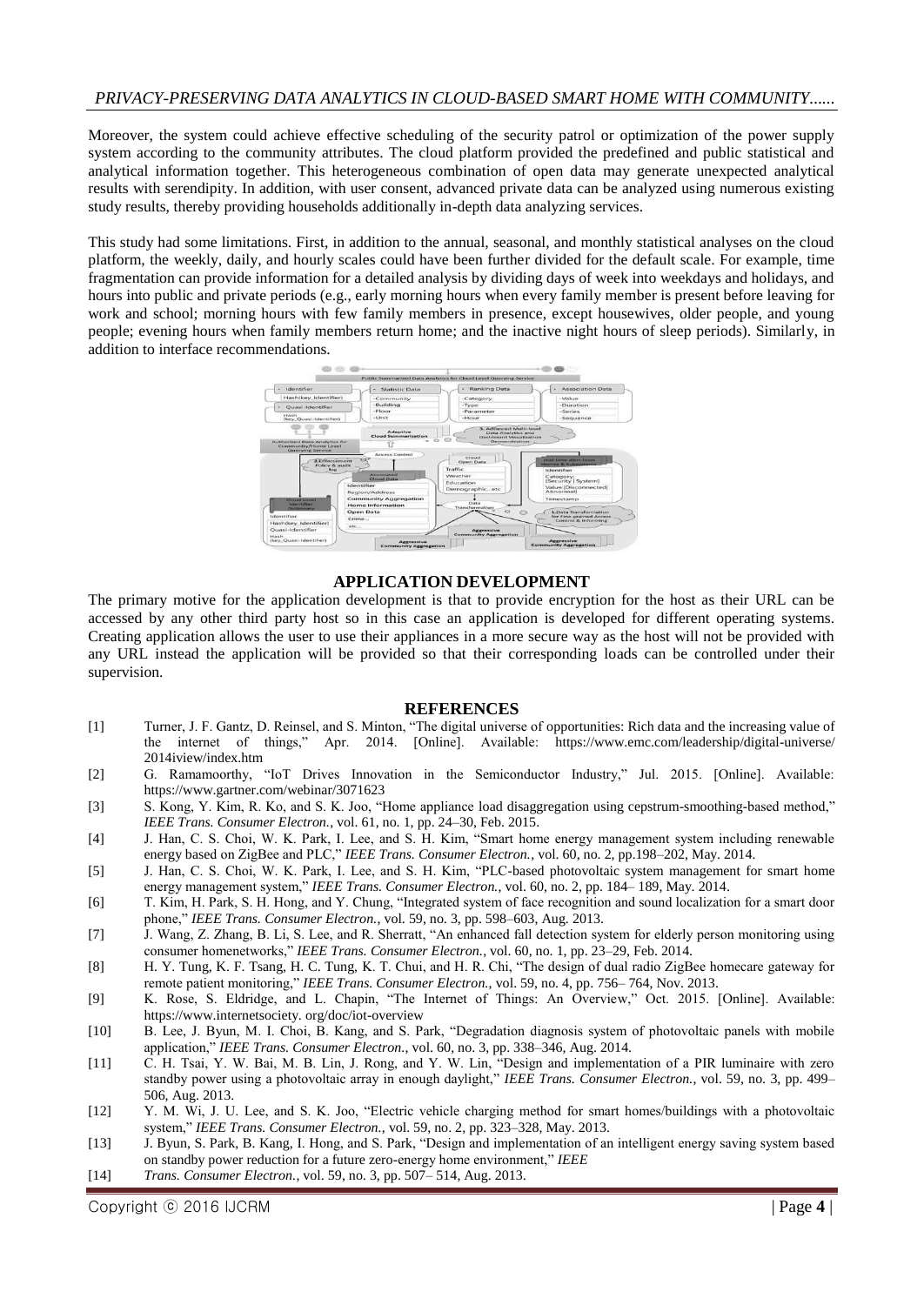# *PRIVACY-PRESERVING DATA ANALYTICS IN CLOUD-BASED SMART HOME WITH COMMUNITY......*

Moreover, the system could achieve effective scheduling of the security patrol or optimization of the power supply system according to the community attributes. The cloud platform provided the predefined and public statistical and analytical information together. This heterogeneous combination of open data may generate unexpected analytical results with serendipity. In addition, with user consent, advanced private data can be analyzed using numerous existing study results, thereby providing households additionally in-depth data analyzing services.

This study had some limitations. First, in addition to the annual, seasonal, and monthly statistical analyses on the cloud platform, the weekly, daily, and hourly scales could have been further divided for the default scale. For example, time fragmentation can provide information for a detailed analysis by dividing days of week into weekdays and holidays, and hours into public and private periods (e.g., early morning hours when every family member is present before leaving for work and school; morning hours with few family members in presence, except housewives, older people, and young people; evening hours when family members return home; and the inactive night hours of sleep periods). Similarly, in addition to interface recommendations.



## **APPLICATION DEVELOPMENT**

The primary motive for the application development is that to provide encryption for the host as their URL can be accessed by any other third party host so in this case an application is developed for different operating systems. Creating application allows the user to use their appliances in a more secure way as the host will not be provided with any URL instead the application will be provided so that their corresponding loads can be controlled under their supervision.

#### **REFERENCES**

- [1] Turner, J. F. Gantz, D. Reinsel, and S. Minton, "The digital universe of opportunities: Rich data and the increasing value of the internet of things," Apr. 2014. [Online]. Available: https://www.emc.com/leadership/digital-universe/ 2014iview/index.htm
- [2] G. Ramamoorthy, "IoT Drives Innovation in the Semiconductor Industry," Jul. 2015. [Online]. Available: https://www.gartner.com/webinar/3071623
- [3] S. Kong, Y. Kim, R. Ko, and S. K. Joo, "Home appliance load disaggregation using cepstrum-smoothing-based method," *IEEE Trans. Consumer Electron.*, vol. 61, no. 1, pp. 24–30, Feb. 2015.
- [4] J. Han, C. S. Choi, W. K. Park, I. Lee, and S. H. Kim, "Smart home energy management system including renewable energy based on ZigBee and PLC," *IEEE Trans. Consumer Electron.*, vol. 60, no. 2, pp.198–202, May. 2014.
- [5] J. Han, C. S. Choi, W. K. Park, I. Lee, and S. H. Kim, "PLC-based photovoltaic system management for smart home energy management system," *IEEE Trans. Consumer Electron.*, vol. 60, no. 2, pp. 184– 189, May. 2014.
- [6] T. Kim, H. Park, S. H. Hong, and Y. Chung, "Integrated system of face recognition and sound localization for a smart door phone," *IEEE Trans. Consumer Electron.*, vol. 59, no. 3, pp. 598–603, Aug. 2013.
- [7] J. Wang, Z. Zhang, B. Li, S. Lee, and R. Sherratt, "An enhanced fall detection system for elderly person monitoring using consumer homenetworks," *IEEE Trans. Consumer Electron.*, vol. 60, no. 1, pp. 23–29, Feb. 2014.
- [8] H. Y. Tung, K. F. Tsang, H. C. Tung, K. T. Chui, and H. R. Chi, "The design of dual radio ZigBee homecare gateway for remote patient monitoring," *IEEE Trans. Consumer Electron.*, vol. 59, no. 4, pp. 756– 764, Nov. 2013.
- [9] K. Rose, S. Eldridge, and L. Chapin, "The Internet of Things: An Overview," Oct. 2015. [Online]. Available: https://www.internetsociety. org/doc/iot-overview
- [10] B. Lee, J. Byun, M. I. Choi, B. Kang, and S. Park, "Degradation diagnosis system of photovoltaic panels with mobile application," *IEEE Trans. Consumer Electron.*, vol. 60, no. 3, pp. 338–346, Aug. 2014.
- [11] C. H. Tsai, Y. W. Bai, M. B. Lin, J. Rong, and Y. W. Lin, "Design and implementation of a PIR luminaire with zero standby power using a photovoltaic array in enough daylight," *IEEE Trans. Consumer Electron.*, vol. 59, no. 3, pp. 499– 506, Aug. 2013.
- [12] Y. M. Wi, J. U. Lee, and S. K. Joo, "Electric vehicle charging method for smart homes/buildings with a photovoltaic system," *IEEE Trans. Consumer Electron.*, vol. 59, no. 2, pp. 323–328, May. 2013.
- [13] J. Byun, S. Park, B. Kang, I. Hong, and S. Park, "Design and implementation of an intelligent energy saving system based on standby power reduction for a future zero-energy home environment," *IEEE*
- [14] *Trans. Consumer Electron.*, vol. 59, no. 3, pp. 507– 514, Aug. 2013.

Copyright ⓒ 2016 IJCRM | Page **4** |